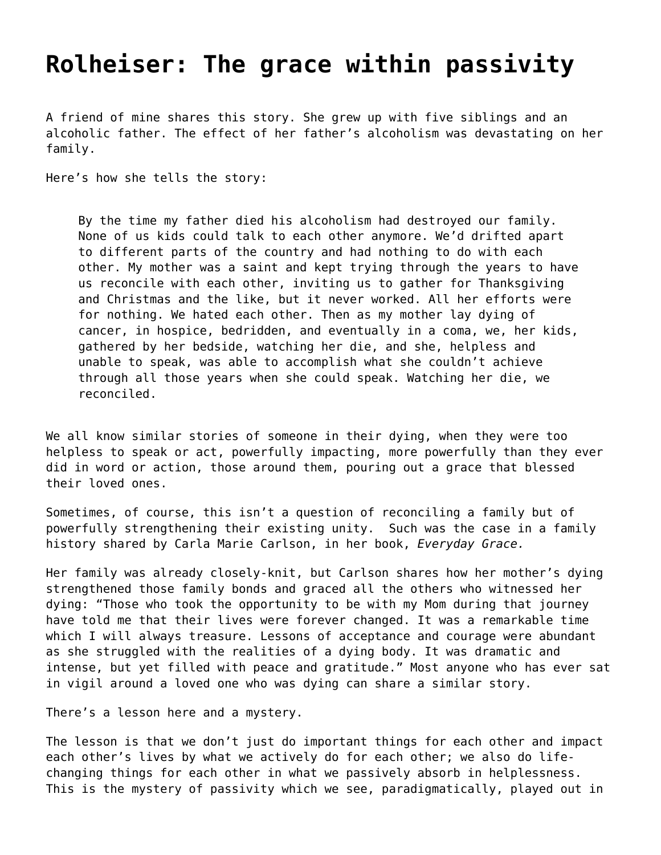## **[Rolheiser: The grace within passivity](https://grandinmedia.ca/rolheiser-the-grace-within-passivity/)**

A friend of mine shares this story. She grew up with five siblings and an alcoholic father. The effect of her father's alcoholism was devastating on her family.

Here's how she tells the story:

By the time my father died his alcoholism had destroyed our family. None of us kids could talk to each other anymore. We'd drifted apart to different parts of the country and had nothing to do with each other. My mother was a saint and kept trying through the years to have us reconcile with each other, inviting us to gather for Thanksgiving and Christmas and the like, but it never worked. All her efforts were for nothing. We hated each other. Then as my mother lay dying of cancer, in hospice, bedridden, and eventually in a coma, we, her kids, gathered by her bedside, watching her die, and she, helpless and unable to speak, was able to accomplish what she couldn't achieve through all those years when she could speak. Watching her die, we reconciled.

We all know similar stories of someone in their dying, when they were too helpless to speak or act, powerfully impacting, more powerfully than they ever did in word or action, those around them, pouring out a grace that blessed their loved ones.

Sometimes, of course, this isn't a question of reconciling a family but of powerfully strengthening their existing unity. Such was the case in a family history shared by Carla Marie Carlson, in her book, *Everyday Grace.*

Her family was already closely-knit, but Carlson shares how her mother's dying strengthened those family bonds and graced all the others who witnessed her dying: "Those who took the opportunity to be with my Mom during that journey have told me that their lives were forever changed. It was a remarkable time which I will always treasure. Lessons of acceptance and courage were abundant as she struggled with the realities of a dying body. It was dramatic and intense, but yet filled with peace and gratitude." Most anyone who has ever sat in vigil around a loved one who was dying can share a similar story.

There's a lesson here and a mystery.

The lesson is that we don't just do important things for each other and impact each other's lives by what we actively do for each other; we also do lifechanging things for each other in what we passively absorb in helplessness. This is the mystery of passivity which we see, paradigmatically, played out in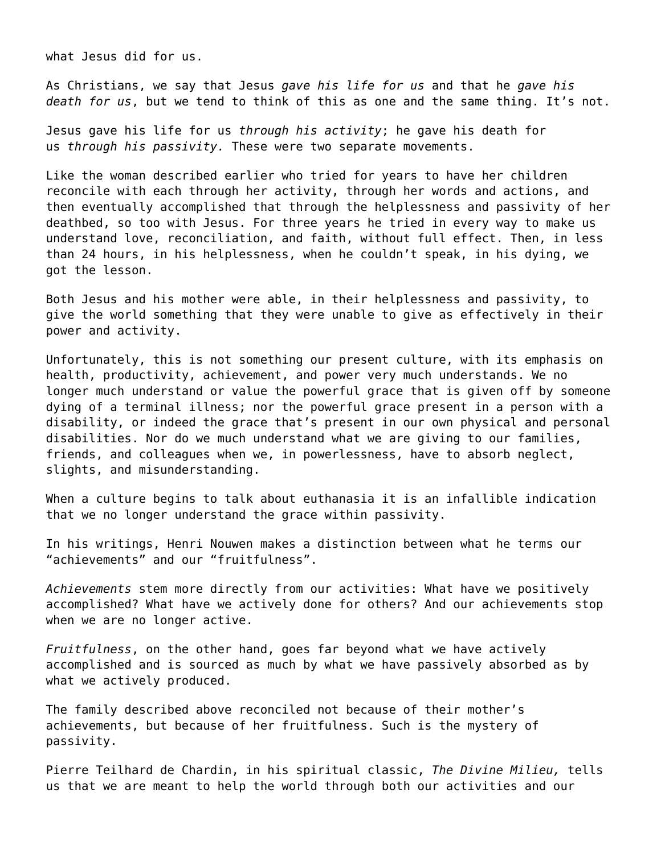what Jesus did for us.

As Christians, we say that Jesus *gave his life for us* and that he *gave his death for us*, but we tend to think of this as one and the same thing. It's not.

Jesus gave his life for us *through his activity*; he gave his death for us *through his passivity.* These were two separate movements.

Like the woman described earlier who tried for years to have her children reconcile with each through her activity, through her words and actions, and then eventually accomplished that through the helplessness and passivity of her deathbed, so too with Jesus. For three years he tried in every way to make us understand love, reconciliation, and faith, without full effect. Then, in less than 24 hours, in his helplessness, when he couldn't speak, in his dying, we got the lesson.

Both Jesus and his mother were able, in their helplessness and passivity, to give the world something that they were unable to give as effectively in their power and activity.

Unfortunately, this is not something our present culture, with its emphasis on health, productivity, achievement, and power very much understands. We no longer much understand or value the powerful grace that is given off by someone dying of a terminal illness; nor the powerful grace present in a person with a disability, or indeed the grace that's present in our own physical and personal disabilities. Nor do we much understand what we are giving to our families, friends, and colleagues when we, in powerlessness, have to absorb neglect, slights, and misunderstanding.

When a culture begins to talk about euthanasia it is an infallible indication that we no longer understand the grace within passivity.

In his writings, Henri Nouwen makes a distinction between what he terms our "achievements" and our "fruitfulness".

*Achievements* stem more directly from our activities: What have we positively accomplished? What have we actively done for others? And our achievements stop when we are no longer active.

*Fruitfulness*, on the other hand, goes far beyond what we have actively accomplished and is sourced as much by what we have passively absorbed as by what we actively produced.

The family described above reconciled not because of their mother's achievements, but because of her fruitfulness. Such is the mystery of passivity.

Pierre Teilhard de Chardin, in his spiritual classic, *The Divine Milieu,* tells us that we are meant to help the world through both our activities and our